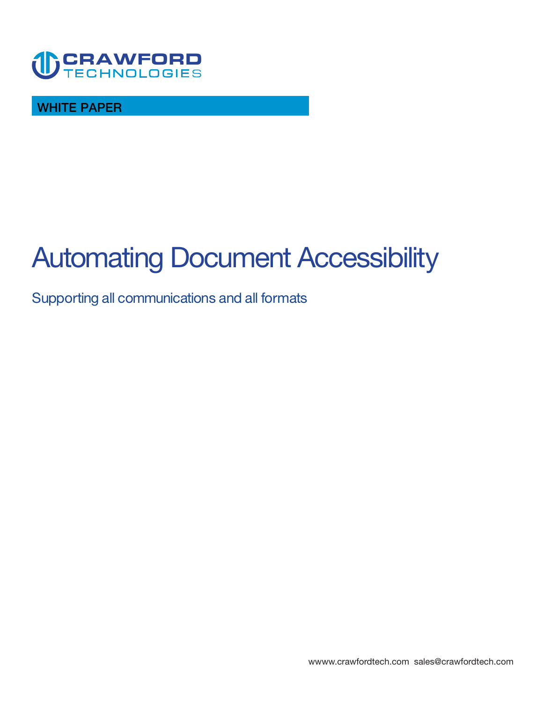

**WHITE PAPER** 

# **Automating Document Accessibility**

## **Supporting all communications and all formats**

**<wwww.crawfordtech.com>[sales@crawfordtech.com](mailto:sales@crawfordtech.com)**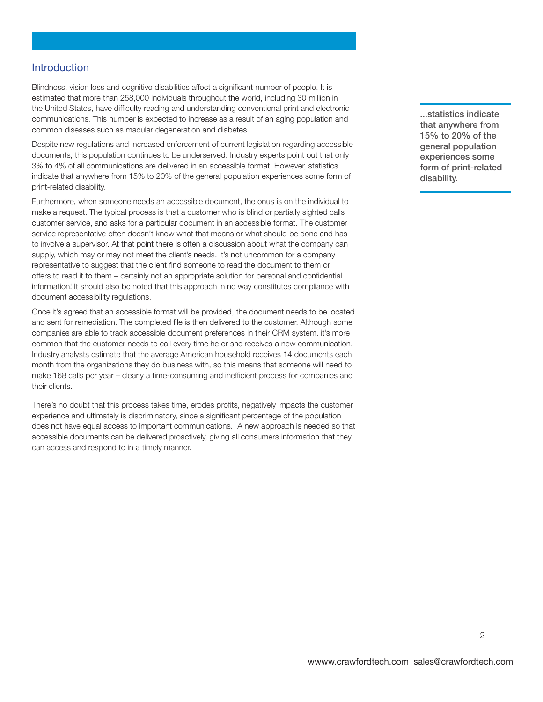#### **Introduction**

**Blindness, vision loss and cognitive disabilities affect a significant number of people. It is estimated that more than 258,000 individuals throughout the world, including 30 million in the United States, have difficulty reading and understanding conventional print and electronic communications. This number is expected to increase as a result of an aging population and common diseases such as macular degeneration and diabetes.** 

**Despite new regulations and increased enforcement of current legislation regarding accessible documents, this population continues to be underserved. Industry experts point out that only 3% to 4% of all communications are delivered in an accessible format. However, statistics indicate that anywhere from 15% to 20% of the general population experiences some form of print-related disability.** 

**Furthermore, when someone needs an accessible document, the onus is on the individual to make a request. The typical process is that a customer who is blind or partially sighted calls customer service, and asks for a particular document in an accessible format. The customer service representative often doesn't know what that means or what should be done and has to involve a supervisor. At that point there is often a discussion about what the company can supply, which may or may not meet the client's needs. It's not uncommon for a company representative to suggest that the client find someone to read the document to them or offers to read it to them – certainly not an appropriate solution for personal and confidential information! It should also be noted that this approach in no way constitutes compliance with document accessibility regulations.** 

**Once it's agreed that an accessible format will be provided, the document needs to be located and sent for remediation. The completed file is then delivered to the customer. Although some companies are able to track accessible document preferences in their CRM system, it's more common that the customer needs to call every time he or she receives a new communication. Industry analysts estimate that the average American household receives 14 documents each month from the organizations they do business with, so this means that someone will need to make 168 calls per year – clearly a time-consuming and inefficient process for companies and their clients.** 

**There's no doubt that this process takes time, erodes profits, negatively impacts the customer experience and ultimately is discriminatory, since a significant percentage of the population does not have equal access to important communications. A new approach is needed so that accessible documents can be delivered proactively, giving all consumers information that they can access and respond to in a timely manner.** 

**...statistics indicate that anywhere from 15% to 20% of the general population experiences some form of print-related disability.**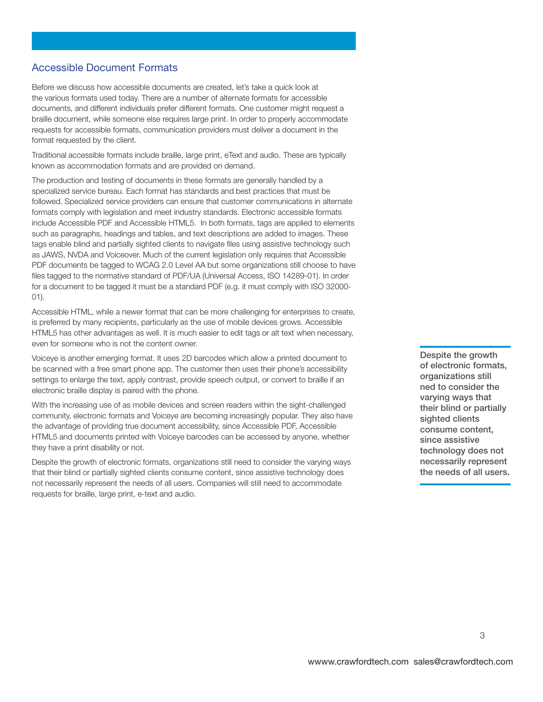## **Accessible Document Formats**

**Before we discuss how accessible documents are created, let's take a quick look at the various formats used today. There are a number of alternate formats for accessible documents, and different individuals prefer different formats. One customer might request a braille document, while someone else requires large print. In order to properly accommodate requests for accessible formats, communication providers must deliver a document in the format requested by the client.** 

**Traditional accessible formats include braille, large print, eText and audio. These are typically known as accommodation formats and are provided on demand.** 

**The production and testing of documents in these formats are generally handled by a specialized service bureau. Each format has standards and best practices that must be followed. Specialized service providers can ensure that customer communications in alternate formats comply with legislation and meet industry standards. Electronic accessible formats include Accessible PDF and Accessible HTML5. In both formats, tags are applied to elements such as paragraphs, headings and tables, and text descriptions are added to images. These tags enable blind and partially sighted clients to navigate files using assistive technology such as JAWS, NVDA and Voiceover. Much of the current legislation only requires that Accessible PDF documents be tagged to WCAG 2.0 Level AA but some organizations still choose to have files tagged to the normative standard of PDF/UA (Universal Access, ISO 14289-01). In order for a document to be tagged it must be a standard PDF (e.g. it must comply with ISO 32000- 01).** 

**Accessible HTML, while a newer format that can be more challenging for enterprises to create, is preferred by many recipients, particularly as the use of mobile devices grows. Accessible HTML5 has other advantages as well. It is much easier to edit tags or alt text when necessary, even for someone who is not the content owner.** 

**Voiceye is another emerging format. It uses 2D barcodes which allow a printed document to be scanned with a free smart phone app. The customer then uses their phone's accessibility settings to enlarge the text, apply contrast, provide speech output, or convert to braille if an electronic braille display is paired with the phone.** 

**With the increasing use of as mobile devices and screen readers within the sight-challenged community, electronic formats and Voiceye are becoming increasingly popular. They also have the advantage of providing true document accessibility, since Accessible PDF, Accessible HTML5 and documents printed with Voiceye barcodes can be accessed by anyone, whether they have a print disability or not.** 

**Despite the growth of electronic formats, organizations still need to consider the varying ways that their blind or partially sighted clients consume content, since assistive technology does not necessarily represent the needs of all users. Companies will still need to accommodate requests for braille, large print, e-text and audio.** 

**Despite the growth of electronic formats, organizations still ned to consider the varying ways that their blind or partially sighted clients consume content, since assistive technology does not necessarily represent the needs of all users.**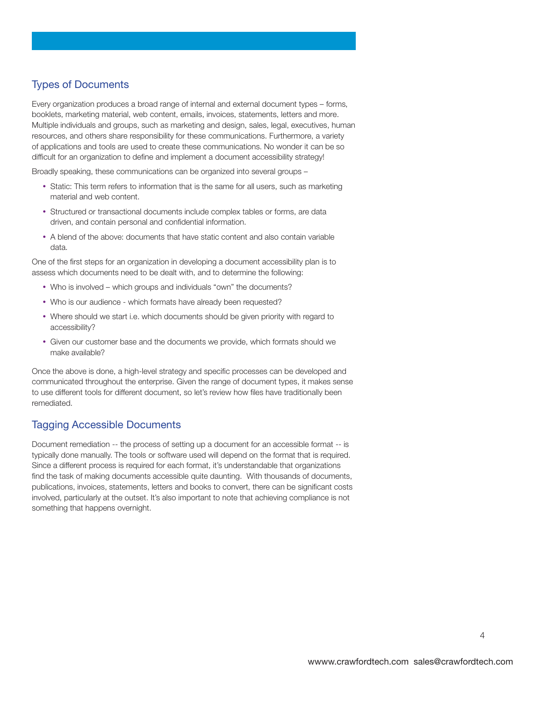## **Types of Documents**

**Every organization produces a broad range of internal and external document types – forms, booklets, marketing material, web content, emails, invoices, statements, letters and more. Multiple individuals and groups, such as marketing and design, sales, legal, executives, human resources, and others share responsibility for these communications. Furthermore, a variety of applications and tools are used to create these communications. No wonder it can be so difficult for an organization to define and implement a document accessibility strategy!** 

**Broadly speaking, these communications can be organized into several groups –** 

- Static: This term refers to information that is the same for all users, such as marketing **material and web content.**
- **Structured or transactional documents include complex tables or forms, are data driven, and contain personal and confidential information.**
- A blend of the above: documents that have static content and also contain variable **data.**

**One of the first steps for an organization in developing a document accessibility plan is to assess which documents need to be dealt with, and to determine the following:** 

- y **Who is involved which groups and individuals "own" the documents?**
- Who is our audience which formats have already been requested?
- Where should we start i.e. which documents should be given priority with regard to **accessibility?**
- y **Given our customer base and the documents we provide, which formats should we make available?**

**Once the above is done, a high-level strategy and specific processes can be developed and communicated throughout the enterprise. Given the range of document types, it makes sense to use different tools for different document, so let's review how files have traditionally been remediated.** 

## **Tagging Accessible Documents**

**Document remediation -- the process of setting up a document for an accessible format -- is typically done manually. The tools or software used will depend on the format that is required. Since a different process is required for each format, it's understandable that organizations find the task of making documents accessible quite daunting. With thousands of documents, publications, invoices, statements, letters and books to convert, there can be significant costs involved, particularly at the outset. It's also important to note that achieving compliance is not something that happens overnight.**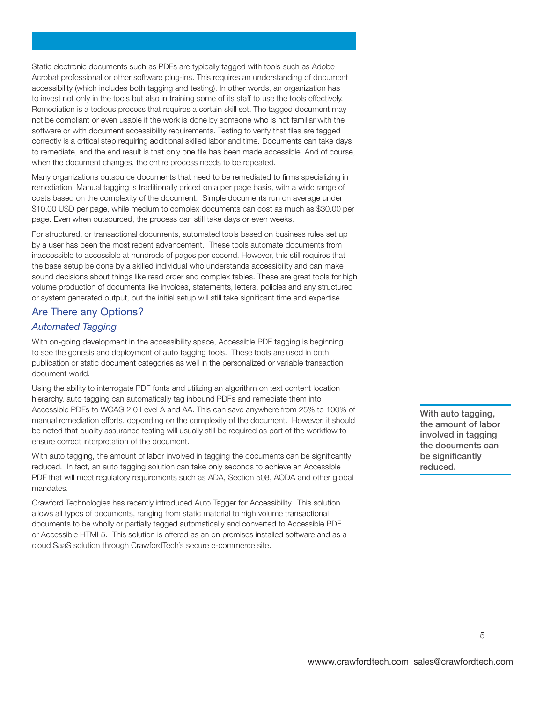**Static electronic documents such as PDFs are typically tagged with tools such as Adobe Acrobat professional or other software plug-ins. This requires an understanding of document accessibility (which includes both tagging and testing). In other words, an organization has to invest not only in the tools but also in training some of its staff to use the tools effectively. Remediation is a tedious process that requires a certain skill set. The tagged document may not be compliant or even usable if the work is done by someone who is not familiar with the software or with document accessibility requirements. Testing to verify that files are tagged correctly is a critical step requiring additional skilled labor and time. Documents can take days to remediate, and the end result is that only one file has been made accessible. And of course, when the document changes, the entire process needs to be repeated.** 

**Many organizations outsource documents that need to be remediated to firms specializing in remediation. Manual tagging is traditionally priced on a per page basis, with a wide range of costs based on the complexity of the document. Simple documents run on average under \$10.00 USD per page, while medium to complex documents can cost as much as \$30.00 per page. Even when outsourced, the process can still take days or even weeks.** 

**For structured, or transactional documents, automated tools based on business rules set up by a user has been the most recent advancement. These tools automate documents from inaccessible to accessible at hundreds of pages per second. However, this still requires that the base setup be done by a skilled individual who understands accessibility and can make sound decisions about things like read order and complex tables. These are great tools for high volume production of documents like invoices, statements, letters, policies and any structured or system generated output, but the initial setup will still take significant time and expertise.** 

### **Are There any Options?**

### *Automated Tagging*

With on-going development in the accessibility space, Accessible PDF tagging is beginning **to see the genesis and deployment of auto tagging tools. These tools are used in both publication or static document categories as well in the personalized or variable transaction document world.** 

**Using the ability to interrogate PDF fonts and utilizing an algorithm on text content location hierarchy, auto tagging can automatically tag inbound PDFs and remediate them into Accessible PDFs to WCAG 2.0 Level A and AA. This can save anywhere from 25% to 100% of manual remediation efforts, depending on the complexity of the document. However, it should be noted that quality assurance testing will usually still be required as part of the workflow to ensure correct interpretation of the document.** 

**With auto tagging, the amount of labor involved in tagging the documents can be significantly reduced. In fact, an auto tagging solution can take only seconds to achieve an Accessible PDF that will meet regulatory requirements such as ADA, Section 508, AODA and other global mandates.** 

**Crawford Technologies has recently introduced Auto Tagger for Accessibility. This solution allows all types of documents, ranging from static material to high volume transactional documents to be wholly or partially tagged automatically and converted to Accessible PDF or Accessible HTML5. This solution is offered as an on premises installed software and as a cloud SaaS solution through CrawfordTech's secure e-commerce site.** 

**With auto tagging, the amount of labor involved in tagging the documents can be significantly reduced.**